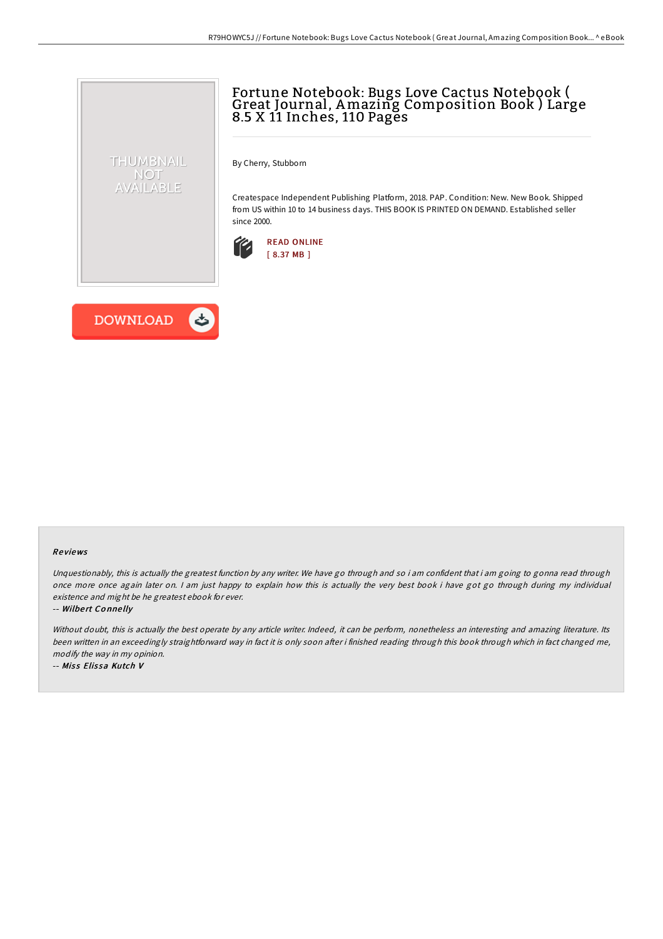# Fortune Notebook: Bugs Love Cactus Notebook ( Great Journal, Amazing Composition Book ) Large 8.5 X 11 Inches, 110 Pages

By Cherry, Stubborn

Createspace Independent Publishing Platform, 2018. PAP. Condition: New. New Book. Shipped from US within 10 to 14 business days. THIS BOOK IS PRINTED ON DEMAND. Established seller since 2000.





THUMBNAIL NOT AVAILABLE

### Re views

Unquestionably, this is actually the greatest function by any writer. We have go through and so i am confident that i am going to gonna read through once more once again later on. I am just happy to explain how this is actually the very best book i have got go through during my individual existence and might be he greatest ebook for ever.

#### -- Wilbert Connelly

Without doubt, this is actually the best operate by any article writer. Indeed, it can be perform, nonetheless an interesting and amazing literature. Its been written in an exceedingly straightforward way in fact it is only soon after i finished reading through this book through which in fact changed me, modify the way in my opinion.

-- Miss Elissa Kutch V